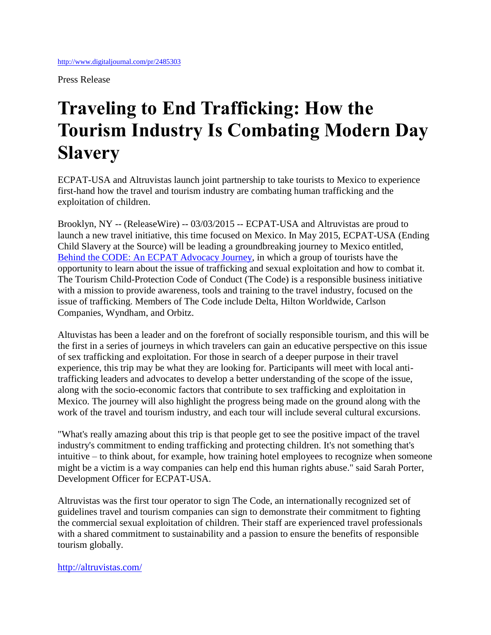Press Release

## **Traveling to End Trafficking: How the Tourism Industry Is Combating Modern Day Slavery**

ECPAT-USA and Altruvistas launch joint partnership to take tourists to Mexico to experience first-hand how the travel and tourism industry are combating human trafficking and the exploitation of children.

Brooklyn, NY -- (ReleaseWire) -- 03/03/2015 -- ECPAT-USA and Altruvistas are proud to launch a new travel initiative, this time focused on Mexico. In May 2015, ECPAT-USA (Ending Child Slavery at the Source) will be leading a groundbreaking journey to Mexico entitled, [Behind the CODE: An ECPAT Advocacy Journey,](http://altruvistas.com/new-trip-to-mexico-explores-efforts-to-end-human-trafficking/) in which a group of tourists have the opportunity to learn about the issue of trafficking and sexual exploitation and how to combat it. The Tourism Child-Protection Code of Conduct (The Code) is a responsible business initiative with a mission to provide awareness, tools and training to the travel industry, focused on the issue of trafficking. Members of The Code include Delta, Hilton Worldwide, Carlson Companies, Wyndham, and Orbitz.

Altuvistas has been a leader and on the forefront of socially responsible tourism, and this will be the first in a series of journeys in which travelers can gain an educative perspective on this issue of sex trafficking and exploitation. For those in search of a deeper purpose in their travel experience, this trip may be what they are looking for. Participants will meet with local antitrafficking leaders and advocates to develop a better understanding of the scope of the issue, along with the socio-economic factors that contribute to sex trafficking and exploitation in Mexico. The journey will also highlight the progress being made on the ground along with the work of the travel and tourism industry, and each tour will include several cultural excursions.

"What's really amazing about this trip is that people get to see the positive impact of the travel industry's commitment to ending trafficking and protecting children. It's not something that's intuitive – to think about, for example, how training hotel employees to recognize when someone might be a victim is a way companies can help end this human rights abuse." said Sarah Porter, Development Officer for ECPAT-USA.

Altruvistas was the first tour operator to sign The Code, an internationally recognized set of guidelines travel and tourism companies can sign to demonstrate their commitment to fighting the commercial sexual exploitation of children. Their staff are experienced travel professionals with a shared commitment to sustainability and a passion to ensure the benefits of responsible tourism globally.

## <http://altruvistas.com/>